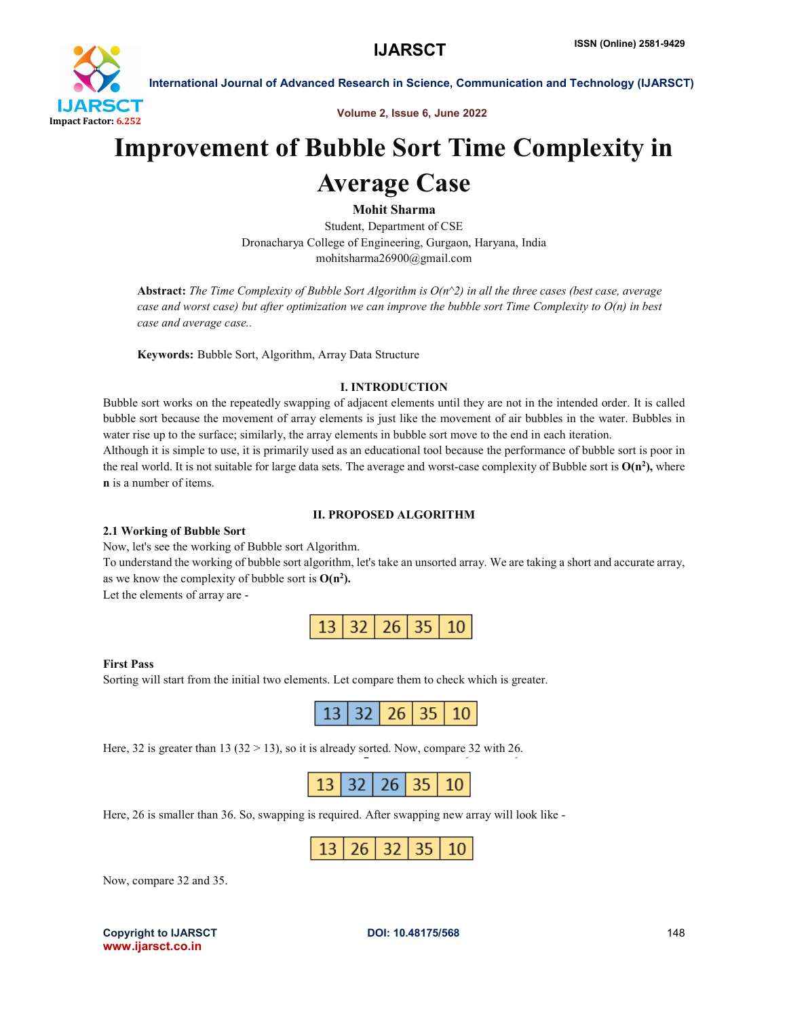

International Journal of Advanced Research in Science, Communication and Technology (IJARSCT)

Volume 2, Issue 6, June 2022

## Improvement of Bubble Sort Time Complexity in

## Average Case

Mohit Sharma

Student, Department of CSE Dronacharya College of Engineering, Gurgaon, Haryana, India mohitsharma26900@gmail.com

Abstract: *The Time Complexity of Bubble Sort Algorithm is O(n^2) in all the three cases (best case, average case and worst case) but after optimization we can improve the bubble sort Time Complexity to O(n) in best case and average case..*

Keywords: Bubble Sort, Algorithm, Array Data Structure

#### I. INTRODUCTION

Bubble sort works on the repeatedly swapping of adjacent elements until they are not in the intended order. It is called bubble sort because the movement of array elements is just like the movement of air bubbles in the water. Bubbles in water rise up to the surface; similarly, the array elements in bubble sort move to the end in each iteration.

Although it is simple to use, it is primarily used as an educational tool because the performance of bubble sort is poor in the real world. It is not suitable for large data sets. The average and worst-case complexity of Bubble sort is  $O(n^2)$ , where n is a number of items.

#### II. PROPOSED ALGORITHM

#### 2.1 Working of Bubble Sort

Now, let's see the working of Bubble sort Algorithm.

To understand the working of bubble sort algorithm, let's take an unsorted array. We are taking a short and accurate array, as we know the complexity of bubble sort is  $O(n^2)$ .

Let the elements of array are -



#### First Pass

Sorting will start from the initial two elements. Let compare them to check which is greater.

Here, 32 is greater than 13 ( $32 > 13$ ), so it is already sorted. Now, compare 32 with 26.

Here, 26 is smaller than 36. So, swapping is required. After swapping new array will look like -

| $6 \mid 32 \mid 35 \mid$ ?<br>$\sqrt{1}$ |  |
|------------------------------------------|--|
|------------------------------------------|--|

Now, compare 32 and 35.

Copyright to IJARSCT **DOI: 10.48175/568** 148 www.ijarsct.co.in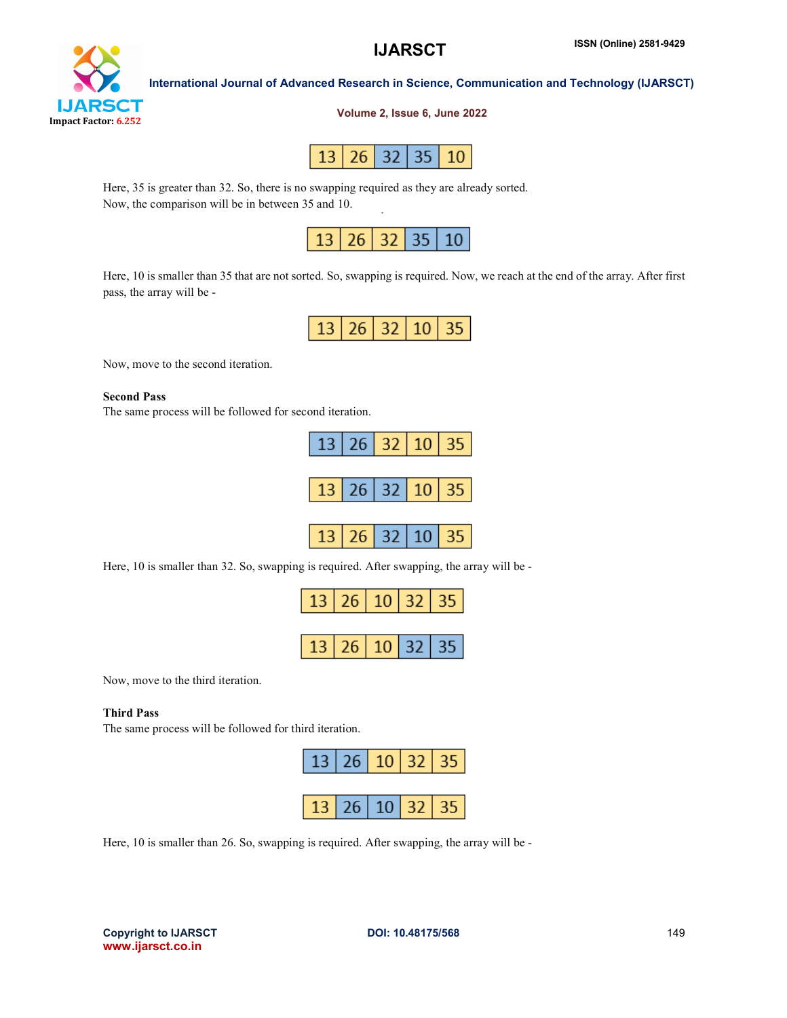## **IJARS** CT Impact Factor: 6.252

International Journal of Advanced Research in Science, Communication and Technology (IJARSCT)

#### Volume 2, Issue 6, June 2022



Here, 35 is greater than 32. So, there is no swapping required as they are already sorted. Now, the comparison will be in between 35 and 10.



Here, 10 is smaller than 35 that are not sorted. So, swapping is required. Now, we reach at the end of the array. After first pass, the array will be -

| L.<br>- 1 |  |
|-----------|--|
|-----------|--|

Now, move to the second iteration.

#### Second Pass

The same process will be followed for second iteration.

|                | 13 26 32 10 35 |  |
|----------------|----------------|--|
|                |                |  |
| 13 26 32 10 35 |                |  |
|                |                |  |
| 13 26 32 10 35 |                |  |

Here, 10 is smaller than 32. So, swapping is required. After swapping, the array will be -



Now, move to the third iteration.

#### Third Pass

The same process will be followed for third iteration.



Here, 10 is smaller than 26. So, swapping is required. After swapping, the array will be -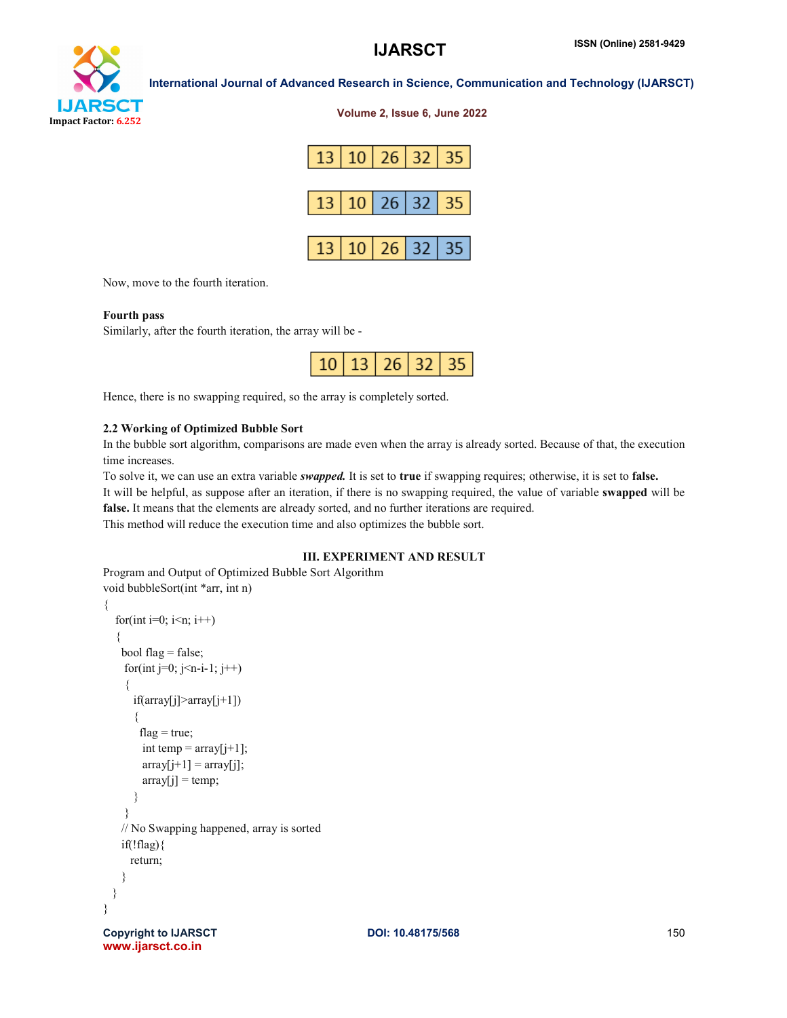# YТ Impact Factor: 6.252

| International Journal of Advanced Research in Science, Communication and Technology (IJARSCT) |  |  |  |
|-----------------------------------------------------------------------------------------------|--|--|--|
|                                                                                               |  |  |  |

Volume 2, Issue 6, June 2022

|  |  | 13 10 26 32 35 |
|--|--|----------------|
|  |  | 13 10 26 32 35 |
|  |  | 13 10 26 32 35 |

Now, move to the fourth iteration.

#### Fourth pass

Similarly, after the fourth iteration, the array will be -

|  |  | $10$   13   26   32   35 |  |  |
|--|--|--------------------------|--|--|
|--|--|--------------------------|--|--|

Hence, there is no swapping required, so the array is completely sorted.

#### 2.2 Working of Optimized Bubble Sort

In the bubble sort algorithm, comparisons are made even when the array is already sorted. Because of that, the execution time increases.

To solve it, we can use an extra variable *swapped.* It is set to true if swapping requires; otherwise, it is set to false. It will be helpful, as suppose after an iteration, if there is no swapping required, the value of variable swapped will be false. It means that the elements are already sorted, and no further iterations are required. This method will reduce the execution time and also optimizes the bubble sort.

#### III. EXPERIMENT AND RESULT

Program and Output of Optimized Bubble Sort Algorithm void bubbleSort(int \*arr, int n)

```
{
  for(int i=0; i\leq n; i++)
   {
    bool flag = false;
    for(int j=0; j<n-i-1; j++)
     {
       if(array[j]>array[j+1])
       {
       flag = true;
        int temp = array[j+1];
        array[j+1] = array[j];array[j] = temp; }
     }
    // No Swapping happened, array is sorted
   if(!flag) return;
    }
 }
}
```